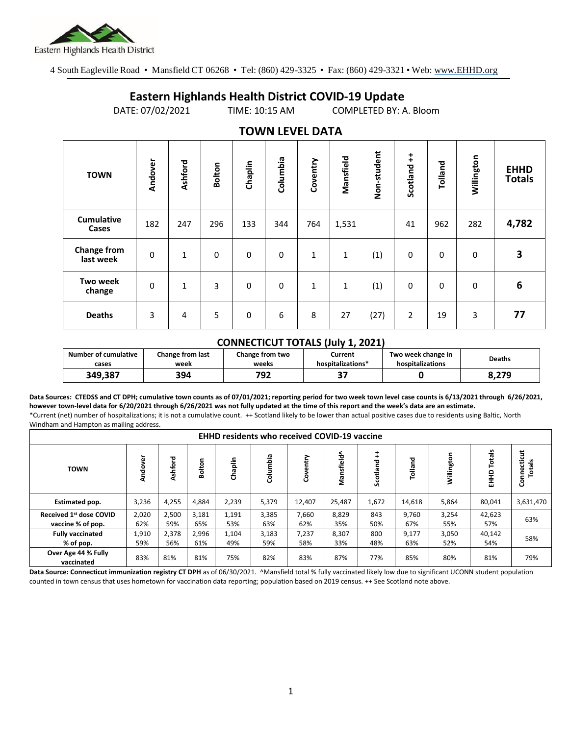

4 South Eagleville Road • Mansfield CT 06268 • Tel: (860) 429-3325 • Fax: (860) 429-3321 • Web: www.EHHD.org

## **Eastern Highlands Health District COVID-19 Update**

DATE: 07/02/2021 TIME: 10:15 AM COMPLETED BY: A. Bloom

| $19.111$ is the set of $17$     |             |         |               |          |          |          |           |             |                        |              |            |                              |
|---------------------------------|-------------|---------|---------------|----------|----------|----------|-----------|-------------|------------------------|--------------|------------|------------------------------|
| <b>TOWN</b>                     | Andover     | Ashford | <b>Bolton</b> | Chaplin  | Columbia | Coventry | Mansfield | Non-student | $\ddagger$<br>Scotland | Tolland      | Willington | <b>EHHD</b><br><b>Totals</b> |
| <b>Cumulative</b><br>Cases      | 182         | 247     | 296           | 133      | 344      | 764      | 1,531     |             | 41                     | 962          | 282        | 4,782                        |
| <b>Change from</b><br>last week | $\mathbf 0$ | 1       | 0             | $\Omega$ | 0        | 1        | 1         | (1)         | 0                      | $\mathbf{0}$ | 0          | 3                            |
| Two week<br>change              | $\mathbf 0$ | 1       | 3             | 0        | 0        | 1        | 1         | (1)         | 0                      | $\mathbf 0$  | 0          | 6                            |
| <b>Deaths</b>                   | 3           | 4       | 5             | 0        | 6        | 8        | 27        | (27)        | $\overline{2}$         | 19           | 3          | 77                           |

## **TOWN LEVEL DATA**

## **CONNECTICUT TOTALS (July 1, 2021)**

| <b>Number of cumulative</b> | <b>Change from last</b> | Change from two | Current           | Two week change in | <b>Deaths</b> |  |
|-----------------------------|-------------------------|-----------------|-------------------|--------------------|---------------|--|
| cases                       | week                    | weeks           | hospitalizations* | hospitalizations   |               |  |
| 349,387                     | 394                     | רמד<br>ЭZ       | - 1               |                    | 8,279         |  |

**Data Sources: CTEDSS and CT DPH; cumulative town counts as of 07/01/2021; reporting period for two week town level case counts is 6/13/2021 through 6/26/2021, however town-level data for 6/20/2021 through 6/26/2021 was not fully updated at the time of this report and the week's data are an estimate.** \*Current (net) number of hospitalizations; it is not a cumulative count. ++ Scotland likely to be lower than actual positive cases due to residents using Baltic, North Windham and Hampton as mailing address.

| <b>EHHD residents who received COVID-19 vaccine</b> |              |              |              |              |              |              |              |            |              |              |                 |                            |
|-----------------------------------------------------|--------------|--------------|--------------|--------------|--------------|--------------|--------------|------------|--------------|--------------|-----------------|----------------------------|
| <b>TOWN</b>                                         | ፟፼<br>용<br>Ĕ | Ashford      | Bolton       | Chaplin      | Columbia     | entry<br>දි  | Mansfield^   | Scotland   | Tolland      | Willington   | otals<br>읖<br>톺 | cticut<br>쓺<br>Conned<br>Ĕ |
| Estimated pop.                                      | 3,236        | 4,255        | 4,884        | 2,239        | 5,379        | 12,407       | 25,487       | 1,672      | 14,618       | 5,864        | 80,041          | 3,631,470                  |
| Received 1st dose COVID<br>vaccine % of pop.        | 2,020<br>62% | 2,500<br>59% | 3,181<br>65% | 1,191<br>53% | 3,385<br>63% | 7,660<br>62% | 8,829<br>35% | 843<br>50% | 9.760<br>67% | 3,254<br>55% | 42,623<br>57%   | 63%                        |
| <b>Fully vaccinated</b><br>% of pop.                | 1,910<br>59% | 2,378<br>56% | 2,996<br>61% | 1,104<br>49% | 3,183<br>59% | 7,237<br>58% | 8,307<br>33% | 800<br>48% | 9,177<br>63% | 3,050<br>52% | 40,142<br>54%   | 58%                        |
| Over Age 44 % Fully<br>vaccinated                   | 83%          | 81%          | 81%          | 75%          | 82%          | 83%          | 87%          | 77%        | 85%          | 80%          | 81%             | 79%                        |

**Data Source: Connecticut immunization registry CT DPH** as of 06/30/2021. AMansfield total % fully vaccinated likely low due to significant UCONN student population counted in town census that uses hometown for vaccination data reporting; population based on 2019 census. ++ See Scotland note above.